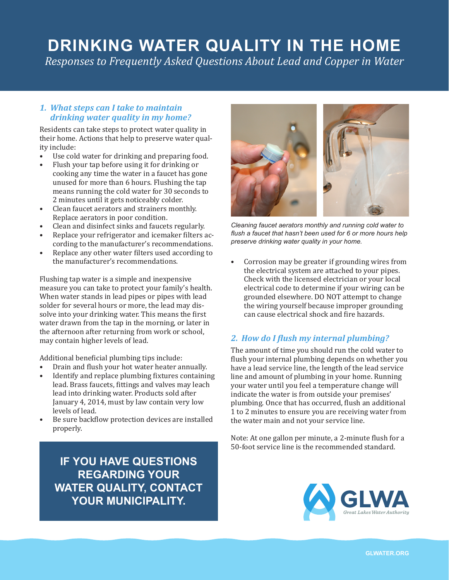# **DRINKING WATER QUALITY IN THE HOME**

*Responses to Frequently Asked Questions About Lead and Copper in Water*

### *1. What steps can I take to maintain drinking water quality in my home?*

Residents can take steps to protect water quality in their home. Actions that help to preserve water quality include:

- Use cold water for drinking and preparing food.
- Flush your tap before using it for drinking or cooking any time the water in a faucet has gone unused for more than 6 hours. Flushing the tap means running the cold water for 30 seconds to 2 minutes until it gets noticeably colder.
- Clean faucet aerators and strainers monthly. Replace aerators in poor condition.
- Clean and disinfect sinks and faucets regularly.
- Replace your refrigerator and icemaker filters according to the manufacturer's recommendations.
- Replace any other water filters used according to the manufacturer's recommendations.

Flushing tap water is a simple and inexpensive measure you can take to protect your family's health. When water stands in lead pipes or pipes with lead solder for several hours or more, the lead may dissolve into your drinking water. This means the first water drawn from the tap in the morning, or later in the afternoon after returning from work or school, may contain higher levels of lead.

Additional beneficial plumbing tips include:

- Drain and flush your hot water heater annually.
- Identify and replace plumbing fixtures containing lead. Brass faucets, fittings and valves may leach lead into drinking water. Products sold after January 4, 2014, must by law contain very low levels of lead.
- Be sure backflow protection devices are installed properly.

**IF YOU HAVE QUESTIONS REGARDING YOUR WATER QUALITY, CONTACT YOUR MUNICIPALITY.**



*Cleaning faucet aerators monthly and running cold water to flush a faucet that hasn't been used for 6 or more hours help preserve drinking water quality in your home.*

• Corrosion may be greater if grounding wires from the electrical system are attached to your pipes. Check with the licensed electrician or your local electrical code to determine if your wiring can be grounded elsewhere. DO NOT attempt to change the wiring yourself because improper grounding can cause electrical shock and fire hazards.

## *2. How do I flush my internal plumbing?*

The amount of time you should run the cold water to flush your internal plumbing depends on whether you have a lead service line, the length of the lead service line and amount of plumbing in your home. Running your water until you feel a temperature change will indicate the water is from outside your premises' plumbing. Once that has occurred, flush an additional 1 to 2 minutes to ensure you are receiving water from the water main and not your service line.

Note: At one gallon per minute, a 2-minute flush for a 50-foot service line is the recommended standard.